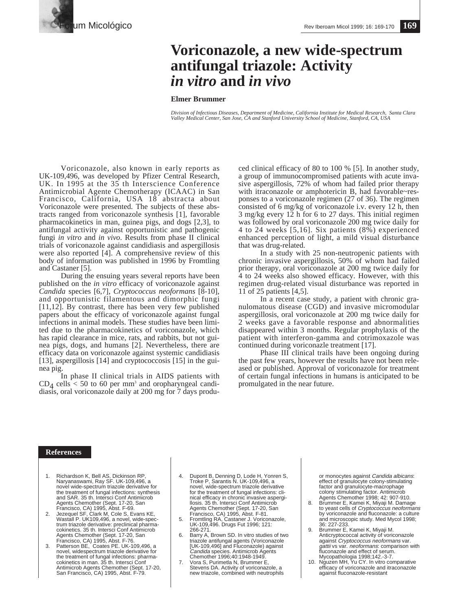

## **Voriconazole, a new wide-spectrum antifungal triazole: Activity** *in vitro* **and** *in vivo*

## **Elmer Brummer**

*Division of Infectious Diseases, Department of Medicine, California Institute for Medical Research, Santa Clara Valley Medical Center, San Jose, CA and Stanford University School of Medicine, Stanford, CA, USA*

Voriconazole, also known in early reports as UK-109,496, was developed by Pfizer Central Research, UK. In 1995 at the 35 th Interscience Conference Antimicrobial Agente Chemotherapy (ICAAC) in San Francisco, California, USA 18 abstracta about Voriconazole were presented. The subjects of these abstracts ranged from voriconazole synthesis [1], favorable pharmacokinetics in man, guinea pigs, and dogs [2,3], to antifungal activity against opportunistic and pathogenic fungi *in vitro* and *in vivo*. Results from phase II clinical trials of voriconazole against candidiasis and aspergillosis were also reported [4]. A comprehensive review of this body of information was published in 1996 by Fromtling and Castaner [5].

During the ensuing years several reports have been published on the *in vitro* efficacy of voriconazole against *Candida* species [6,7], *Cryptococcus neoformans* [8-10], and opportunistic filamentous and dimorphic fungi [11,12]. By contrast, there has been very few published papers about the efficacy of voriconazole against fungal infections in animal models. These studies have been limited due to the pharmacokinetics of voriconazole, which has rapid clearance in mice, rats, and rabbits, but not guinea pigs, dogs, and humans [2]. Nevertheless, there are efficacy data on voriconazole against systemic candidiasis [13], aspergillosis [14] and cryptococcosis [15] in the guinea pig.

In phase II clinical trials in AIDS patients with  $CD<sub>4</sub>$  cells < 50 to 60 per mm<sup>3</sup> and oropharyngeal candidiasis, oral voriconazole daily at 200 mg for 7 days produced clinical efficacy of 80 to 100 % [5]. In another study, a group of immunocompromised patients with acute invasive aspergillosis, 72% of whom had failed prior therapy with itraconazole or amphotericin B, had favorable~responses to a voriconazole regimen (27 of 36). The regimen consisted of 6 mg/kg of voriconazole i.v. every 12 h, then 3 mg/kg every 12 h for 6 to 27 days. This initial regimen was followed by oral voriconazole 200 mg twice daily for 4 to 24 weeks [5,16]. Six patients (8%) experienced enhanced perception of light, a mild visual disturbance that was drug-related.

In a study with 25 non-neutropenic patients with chronic invasive aspergillosis, 50% of whom had failed prior therapy, oral voriconazole at 200 mg twice daily for 4 to 24 weeks also showed efficacy. However, with this regimen drug-related visual disturbance was reported in 11 of 25 patients [4,5].

In a recent case study, a patient with chronic granulomatous disease (CGD) and invasive micromodular aspergillosis, oral voriconazole at 200 mg twice daily for 2 weeks gave a favorable response and abnormalities disappeared within 3 months. Regular prophylaxis of the patient with interferon-gamma and cotrimoxazole was continued during voriconazle treatment [17].

Phase III clinical trails have been ongoing during the past few years, however the results have not been released or published. Approval of voriconazole for treatment of certain fungal infections in humans is anticipated to be promulgated in the near future.

## **References**

- 1. Richardson K, Bell AS, Dickinson RP, Naryanaswami, Ray SF. UK-109,496, a novel wide-spectrum triazole derivative for the treatment of fungal infections: synthesis and SAR. 35 th. Intersci Conf Antimicrob Agents Chemother (Sept. 17-20, San
- Francisco, CA) 1995, Abst. F-69. 2. Jezequel SF, Clark M, Cole S, Evans KE, Wastall P. UK109,496, a novel, wide-spectrum triazole derivative: preclinical pharmacokinetics. 35 th. Intersci Conf Antimicrob Agents Chemother (Sept. 17-20, San
- Francisco, CA) 1995, Abst. F-76. 3. Patterson BE, Coates PE. UK-109,496, a novel, widespectrum triazole derivative for the treatment of fungal infections: pharma-cokinetics in man. 35 th. Intersci Conf Antimicrob Agents Chemother (Sept. 17-20, San Francisco, CA) 1995, Abst. F-79.
- 4. Dupont B, Denning D, Lode H, Yonren S, Troke P, Sarantis N. UK-109,496, a novel, wide-spectrum triazole derivative for the treatment of fungal infections: clinical efficacy in chronic invasive aspergi-llosis. 35 th. Intersci Conf Antimicrob Agents Chemother (Sept. 17-20, San Francisco, CA) 1995, Abst. F-81. 5. Fromtling RA, Castaner J. Voriconazole,
- UK-109,496. Drugs Fut 1996; 121: 266-271.
- Barry A, Brown SD. In vitro studies of two triazole antifungal agents (Voriconazole [UK-109,496] and Fluconazole) against Candida species. Antimicrob Agents Chemother 1996;40:1948-1949.
- 7. Vora S, Purimetla N, Brummer E, Stevens DA. Activity of voriconazole, a new triazole, combined with neutrophils

or monocytes against *Candida albicans:*<br>effect of granulocyte colony-stimulating<br>factor and granulocyte-macrophage colony stimulating factor. Antimicrob Agents Chemother 1998; 42: 907-910.

- 8. Brummer E, Kamei K, Miyaji M. Damage to yeast cells of Cryptococcus neoformans by voriconazole and fluconazole: a culture and microscopic study. Med Mycol 1998; 36: 227-233.
- 9. Brummer E, Kamei K, Miyaji M. Anticryptococcal activity of voriconazole against Cryptococcus neoformans var. ga*ttii* vs var. *neoformans*: comparison with<br>fluconazole and effect of serum.<br>Mycopathologia 1998;142.-3-7.<br>10. Nguzen MH, Yu CY. In vitro comparative
- efficacy of voriconazole and itraconazole against fluconazole-resistant